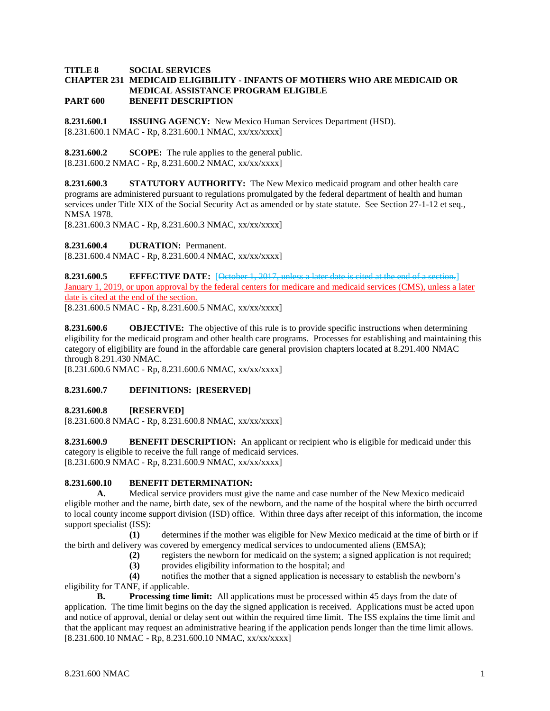### **TITLE 8 SOCIAL SERVICES CHAPTER 231 MEDICAID ELIGIBILITY - INFANTS OF MOTHERS WHO ARE MEDICAID OR MEDICAL ASSISTANCE PROGRAM ELIGIBLE PART 600 BENEFIT DESCRIPTION**

**8.231.600.1 ISSUING AGENCY:** New Mexico Human Services Department (HSD). [8.231.600.1 NMAC - Rp, 8.231.600.1 NMAC, xx/xx/xxxx]

**8.231.600.2 SCOPE:** The rule applies to the general public.  $[8.231.600.2 NMAC - Rp, 8.231.600.2 NMAC, xx/xx/xxx]$ 

**8.231.600.3 STATUTORY AUTHORITY:** The New Mexico medicaid program and other health care programs are administered pursuant to regulations promulgated by the federal department of health and human services under Title XIX of the Social Security Act as amended or by state statute. See Section 27-1-12 et seq., NMSA 1978.

[8.231.600.3 NMAC - Rp, 8.231.600.3 NMAC, xx/xx/xxxx]

**8.231.600.4 DURATION:** Permanent.

[8.231.600.4 NMAC - Rp, 8.231.600.4 NMAC, xx/xx/xxxx]

**8.231.600.5 EFFECTIVE DATE:** [October 1, 2017, unless a later date is cited at the end of a section.] January 1, 2019, or upon approval by the federal centers for medicare and medicaid services (CMS), unless a later date is cited at the end of the section.

[8.231.600.5 NMAC - Rp, 8.231.600.5 NMAC, xx/xx/xxxx]

**8.231.600.6 OBJECTIVE:** The objective of this rule is to provide specific instructions when determining eligibility for the medicaid program and other health care programs. Processes for establishing and maintaining this category of eligibility are found in the affordable care general provision chapters located at 8.291.400 NMAC through 8.291.430 NMAC.

[8.231.600.6 NMAC - Rp, 8.231.600.6 NMAC, xx/xx/xxxx]

## **8.231.600.7 DEFINITIONS: [RESERVED]**

### **8.231.600.8 [RESERVED]**

[8.231.600.8 NMAC - Rp, 8.231.600.8 NMAC, xx/xx/xxxx]

**8.231.600.9 BENEFIT DESCRIPTION:** An applicant or recipient who is eligible for medicaid under this category is eligible to receive the full range of medicaid services. [8.231.600.9 NMAC - Rp, 8.231.600.9 NMAC, xx/xx/xxxx]

### **8.231.600.10 BENEFIT DETERMINATION:**

**A.** Medical service providers must give the name and case number of the New Mexico medicaid eligible mother and the name, birth date, sex of the newborn, and the name of the hospital where the birth occurred to local county income support division (ISD) office. Within three days after receipt of this information, the income support specialist (ISS):

**(1)** determines if the mother was eligible for New Mexico medicaid at the time of birth or if the birth and delivery was covered by emergency medical services to undocumented aliens (EMSA);

**(2)** registers the newborn for medicaid on the system; a signed application is not required;

**(3)** provides eligibility information to the hospital; and

**(4)** notifies the mother that a signed application is necessary to establish the newborn's eligibility for TANF, if applicable.

**B. Processing time limit:** All applications must be processed within 45 days from the date of application. The time limit begins on the day the signed application is received. Applications must be acted upon and notice of approval, denial or delay sent out within the required time limit. The ISS explains the time limit and that the applicant may request an administrative hearing if the application pends longer than the time limit allows. [8.231.600.10 NMAC - Rp, 8.231.600.10 NMAC, xx/xx/xxxx]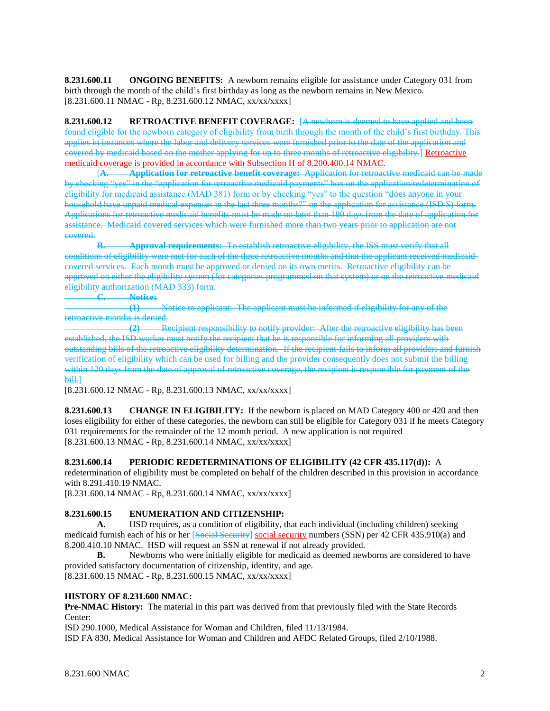**8.231.600.11 ONGOING BENEFITS:** A newborn remains eligible for assistance under Category 031 from birth through the month of the child's first birthday as long as the newborn remains in New Mexico. [8.231.600.11 NMAC - Rp, 8.231.600.12 NMAC, xx/xx/xxxx]

**8.231.600.12 RETROACTIVE BENEFIT COVERAGE:** [A newborn is deemed to have applied and been found eligible for the newborn category of eligibility from birth through the month of the child's first birthday. This applies in instances where the labor and delivery services were furnished prior to the date of the application and covered by medicaid based on the mother applying for up to three months of retroactive eligibility.] Retroactive medicaid coverage is provided in accordance with Subsection H of 8.200.400.14 NMAC.

[**A. Application for retroactive benefit coverage:** Application for retroactive medicaid can be made by checking "yes" in the "application for retroactive medicaid payments" box on the application/redetermination of eligibility for medicaid assistance (MAD 381) form or by checking "yes" to the question "does anyone in your household have unpaid medical expenses in the last three months?" on the application for assistance (ISD S) form. Applications for retroactive medicaid benefits must be made no later than 180 days from the date of application for assistance. Medicaid covered services which were furnished more than two years prior to application are not covered.

**B. Approval requirements:** To establish retroactive eligibility, the ISS must verify that all conditions of eligibility were met for each of the three retroactive months and that the applicant received medicaidcovered services. Each month must be approved or denied on its own merits. Retroactive eligibility can be approved on either the eligibility system (for categories programmed on that system) or on the retroactive medicaid eligibility authorization  $(MAD 333)$  form.

**C. Notice:**

**(1)** Notice to applicant: The applicant must be informed if eligibility for any of the retroactive months is denied.

**(2)** Recipient responsibility to notify provider: After the retroactive eligibility has been established, the ISD worker must notify the recipient that he is responsible for informing all providers with outstanding bills of the retroactive eligibility determination. If the recipient fails to inform all providers and furnish verification of eligibility which can be used for billing and the provider consequently does not submit the billing within 120 days from the date of approval of retroactive coverage, the recipient is responsible for payment of the **bill.]** 

[8.231.600.12 NMAC - Rp, 8.231.600.13 NMAC, xx/xx/xxxx]

**8.231.600.13 CHANGE IN ELIGIBILITY:** If the newborn is placed on MAD Category 400 or 420 and then loses eligibility for either of these categories, the newborn can still be eligible for Category 031 if he meets Category 031 requirements for the remainder of the 12 month period. A new application is not required [8.231.600.13 NMAC - Rp, 8.231.600.14 NMAC, xx/xx/xxxx]

**8.231.600.14 PERIODIC REDETERMINATIONS OF ELIGIBILITY (42 CFR 435.117(d)):** A

redetermination of eligibility must be completed on behalf of the children described in this provision in accordance with 8.291.410.19 NMAC.

[8.231.600.14 NMAC - Rp, 8.231.600.14 NMAC, xx/xx/xxxx]

# **8.231.600.15 ENUMERATION AND CITIZENSHIP:**

**A.** HSD requires, as a condition of eligibility, that each individual (including children) seeking medicaid furnish each of his or her [Social Security] social security numbers (SSN) per 42 CFR 435.910(a) and 8.200.410.10 NMAC. HSD will request an SSN at renewal if not already provided.

**B.** Newborns who were initially eligible for medicaid as deemed newborns are considered to have provided satisfactory documentation of citizenship, identity, and age.

[8.231.600.15 NMAC - Rp, 8.231.600.15 NMAC, xx/xx/xxxx]

# **HISTORY OF 8.231.600 NMAC:**

**Pre-NMAC History:** The material in this part was derived from that previously filed with the State Records Center:

ISD 290.1000, Medical Assistance for Woman and Children, filed 11/13/1984.

ISD FA 830, Medical Assistance for Woman and Children and AFDC Related Groups, filed 2/10/1988.